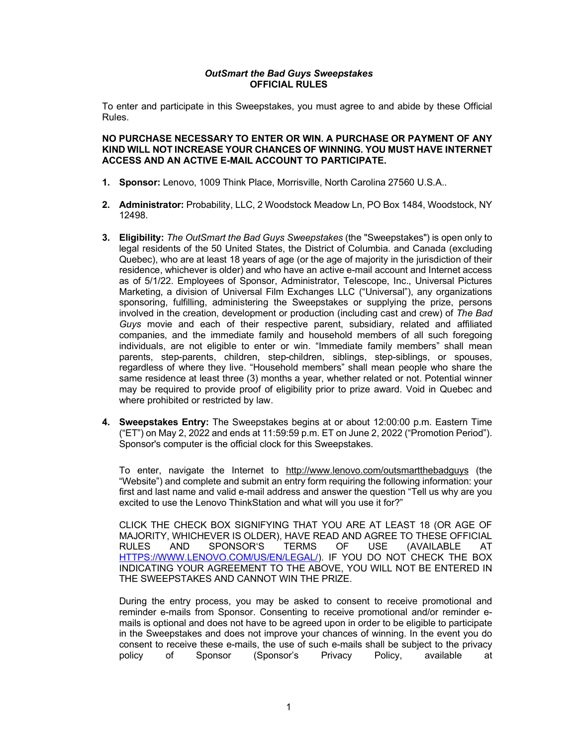#### *OutSmart the Bad Guys Sweepstakes* **OFFICIAL RULES**

To enter and participate in this Sweepstakes, you must agree to and abide by these Official Rules.

# **NO PURCHASE NECESSARY TO ENTER OR WIN. A PURCHASE OR PAYMENT OF ANY KIND WILL NOT INCREASE YOUR CHANCES OF WINNING. YOU MUST HAVE INTERNET ACCESS AND AN ACTIVE E-MAIL ACCOUNT TO PARTICIPATE.**

- **1. Sponsor:** Lenovo, 1009 Think Place, Morrisville, North Carolina 27560 U.S.A..
- **2. Administrator:** Probability, LLC, 2 Woodstock Meadow Ln, PO Box 1484, Woodstock, NY 12498.
- **3. Eligibility:** *The OutSmart the Bad Guys Sweepstakes* (the "Sweepstakes") is open only to legal residents of the 50 United States, the District of Columbia. and Canada (excluding Quebec), who are at least 18 years of age (or the age of majority in the jurisdiction of their residence, whichever is older) and who have an active e-mail account and Internet access as of 5/1/22. Employees of Sponsor, Administrator, Telescope, Inc., Universal Pictures Marketing, a division of Universal Film Exchanges LLC ("Universal"), any organizations sponsoring, fulfilling, administering the Sweepstakes or supplying the prize, persons involved in the creation, development or production (including cast and crew) of *The Bad Guys* movie and each of their respective parent, subsidiary, related and affiliated companies, and the immediate family and household members of all such foregoing individuals, are not eligible to enter or win. "Immediate family members" shall mean parents, step-parents, children, step-children, siblings, step-siblings, or spouses, regardless of where they live. "Household members" shall mean people who share the same residence at least three (3) months a year, whether related or not. Potential winner may be required to provide proof of eligibility prior to prize award. Void in Quebec and where prohibited or restricted by law.
- **4. Sweepstakes Entry:** The Sweepstakes begins at or about 12:00:00 p.m. Eastern Time ("ET") on May 2, 2022 and ends at 11:59:59 p.m. ET on June 2, 2022 ("Promotion Period"). Sponsor's computer is the official clock for this Sweepstakes.

To enter, navigate the Internet to http://www.lenovo.com/outsmartthebadguys (the "Website") and complete and submit an entry form requiring the following information: your first and last name and valid e-mail address and answer the question "Tell us why are you excited to use the Lenovo ThinkStation and what will you use it for?"

CLICK THE CHECK BOX SIGNIFYING THAT YOU ARE AT LEAST 18 (OR AGE OF MAJORITY, WHICHEVER IS OLDER), HAVE READ AND AGREE TO THESE OFFICIAL RULES AND SPONSOR'S TERMS OF USE (AVAILABLE AT HTTPS://WWW.LENOVO.COM/US/EN/LEGAL/). IF YOU DO NOT CHECK THE BOX INDICATING YOUR AGREEMENT TO THE ABOVE, YOU WILL NOT BE ENTERED IN THE SWEEPSTAKES AND CANNOT WIN THE PRIZE.

During the entry process, you may be asked to consent to receive promotional and reminder e-mails from Sponsor. Consenting to receive promotional and/or reminder emails is optional and does not have to be agreed upon in order to be eligible to participate in the Sweepstakes and does not improve your chances of winning. In the event you do consent to receive these e-mails, the use of such e-mails shall be subject to the privacy<br>
policy of Sponsor (Sponsor's Privacy Policy, available at policy of Sponsor (Sponsor's Privacy Policy, available at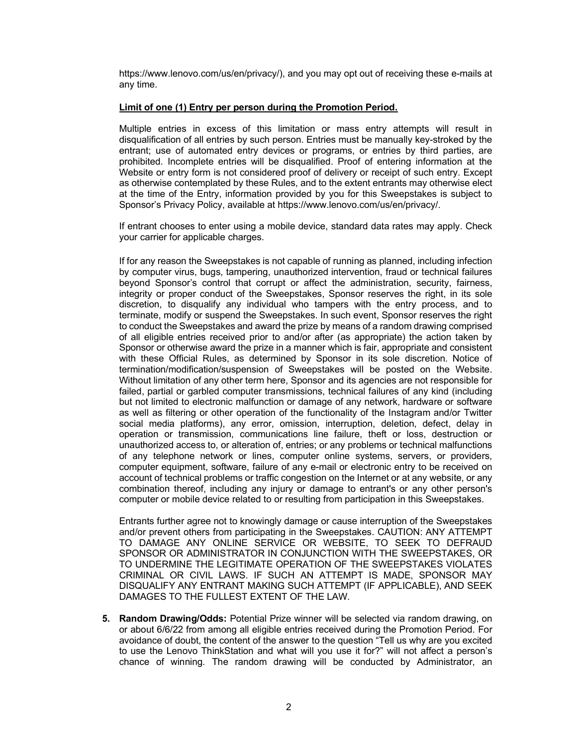https://www.lenovo.com/us/en/privacy/), and you may opt out of receiving these e-mails at any time.

# **Limit of one (1) Entry per person during the Promotion Period.**

Multiple entries in excess of this limitation or mass entry attempts will result in disqualification of all entries by such person. Entries must be manually key-stroked by the entrant; use of automated entry devices or programs, or entries by third parties, are prohibited. Incomplete entries will be disqualified. Proof of entering information at the Website or entry form is not considered proof of delivery or receipt of such entry. Except as otherwise contemplated by these Rules, and to the extent entrants may otherwise elect at the time of the Entry, information provided by you for this Sweepstakes is subject to Sponsor's Privacy Policy, available at https://www.lenovo.com/us/en/privacy/.

If entrant chooses to enter using a mobile device, standard data rates may apply. Check your carrier for applicable charges.

If for any reason the Sweepstakes is not capable of running as planned, including infection by computer virus, bugs, tampering, unauthorized intervention, fraud or technical failures beyond Sponsor's control that corrupt or affect the administration, security, fairness, integrity or proper conduct of the Sweepstakes, Sponsor reserves the right, in its sole discretion, to disqualify any individual who tampers with the entry process, and to terminate, modify or suspend the Sweepstakes. In such event, Sponsor reserves the right to conduct the Sweepstakes and award the prize by means of a random drawing comprised of all eligible entries received prior to and/or after (as appropriate) the action taken by Sponsor or otherwise award the prize in a manner which is fair, appropriate and consistent with these Official Rules, as determined by Sponsor in its sole discretion. Notice of termination/modification/suspension of Sweepstakes will be posted on the Website. Without limitation of any other term here, Sponsor and its agencies are not responsible for failed, partial or garbled computer transmissions, technical failures of any kind (including but not limited to electronic malfunction or damage of any network, hardware or software as well as filtering or other operation of the functionality of the Instagram and/or Twitter social media platforms), any error, omission, interruption, deletion, defect, delay in operation or transmission, communications line failure, theft or loss, destruction or unauthorized access to, or alteration of, entries; or any problems or technical malfunctions of any telephone network or lines, computer online systems, servers, or providers, computer equipment, software, failure of any e-mail or electronic entry to be received on account of technical problems or traffic congestion on the Internet or at any website, or any combination thereof, including any injury or damage to entrant's or any other person's computer or mobile device related to or resulting from participation in this Sweepstakes.

Entrants further agree not to knowingly damage or cause interruption of the Sweepstakes and/or prevent others from participating in the Sweepstakes. CAUTION: ANY ATTEMPT TO DAMAGE ANY ONLINE SERVICE OR WEBSITE, TO SEEK TO DEFRAUD SPONSOR OR ADMINISTRATOR IN CONJUNCTION WITH THE SWEEPSTAKES, OR TO UNDERMINE THE LEGITIMATE OPERATION OF THE SWEEPSTAKES VIOLATES CRIMINAL OR CIVIL LAWS. IF SUCH AN ATTEMPT IS MADE, SPONSOR MAY DISQUALIFY ANY ENTRANT MAKING SUCH ATTEMPT (IF APPLICABLE), AND SEEK DAMAGES TO THE FULLEST EXTENT OF THE LAW.

**5. Random Drawing/Odds:** Potential Prize winner will be selected via random drawing, on or about 6/6/22 from among all eligible entries received during the Promotion Period. For avoidance of doubt, the content of the answer to the question "Tell us why are you excited to use the Lenovo ThinkStation and what will you use it for?" will not affect a person's chance of winning. The random drawing will be conducted by Administrator, an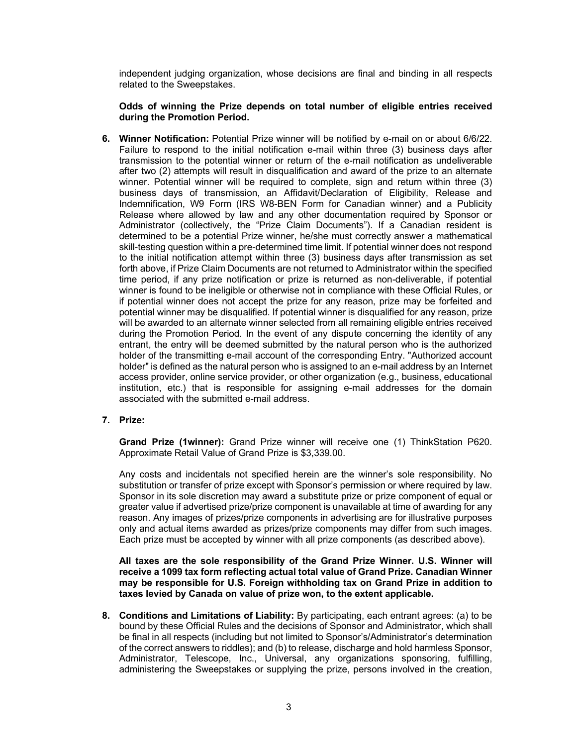independent judging organization, whose decisions are final and binding in all respects related to the Sweepstakes.

# **Odds of winning the Prize depends on total number of eligible entries received during the Promotion Period.**

**6. Winner Notification:** Potential Prize winner will be notified by e-mail on or about 6/6/22. Failure to respond to the initial notification e-mail within three (3) business days after transmission to the potential winner or return of the e-mail notification as undeliverable after two (2) attempts will result in disqualification and award of the prize to an alternate winner. Potential winner will be required to complete, sign and return within three (3) business days of transmission, an Affidavit/Declaration of Eligibility, Release and Indemnification, W9 Form (IRS W8-BEN Form for Canadian winner) and a Publicity Release where allowed by law and any other documentation required by Sponsor or Administrator (collectively, the "Prize Claim Documents"). If a Canadian resident is determined to be a potential Prize winner, he/she must correctly answer a mathematical skill-testing question within a pre-determined time limit. If potential winner does not respond to the initial notification attempt within three (3) business days after transmission as set forth above, if Prize Claim Documents are not returned to Administrator within the specified time period, if any prize notification or prize is returned as non-deliverable, if potential winner is found to be ineligible or otherwise not in compliance with these Official Rules, or if potential winner does not accept the prize for any reason, prize may be forfeited and potential winner may be disqualified. If potential winner is disqualified for any reason, prize will be awarded to an alternate winner selected from all remaining eligible entries received during the Promotion Period. In the event of any dispute concerning the identity of any entrant, the entry will be deemed submitted by the natural person who is the authorized holder of the transmitting e-mail account of the corresponding Entry. "Authorized account holder" is defined as the natural person who is assigned to an e-mail address by an Internet access provider, online service provider, or other organization (e.g., business, educational institution, etc.) that is responsible for assigning e-mail addresses for the domain associated with the submitted e-mail address.

## **7. Prize:**

**Grand Prize (1winner):** Grand Prize winner will receive one (1) ThinkStation P620. Approximate Retail Value of Grand Prize is \$3,339.00.

Any costs and incidentals not specified herein are the winner's sole responsibility. No substitution or transfer of prize except with Sponsor's permission or where required by law. Sponsor in its sole discretion may award a substitute prize or prize component of equal or greater value if advertised prize/prize component is unavailable at time of awarding for any reason. Any images of prizes/prize components in advertising are for illustrative purposes only and actual items awarded as prizes/prize components may differ from such images. Each prize must be accepted by winner with all prize components (as described above).

**All taxes are the sole responsibility of the Grand Prize Winner. U.S. Winner will receive a 1099 tax form reflecting actual total value of Grand Prize. Canadian Winner may be responsible for U.S. Foreign withholding tax on Grand Prize in addition to taxes levied by Canada on value of prize won, to the extent applicable.**

**8. Conditions and Limitations of Liability:** By participating, each entrant agrees: (a) to be bound by these Official Rules and the decisions of Sponsor and Administrator, which shall be final in all respects (including but not limited to Sponsor's/Administrator's determination of the correct answers to riddles); and (b) to release, discharge and hold harmless Sponsor, Administrator, Telescope, Inc., Universal, any organizations sponsoring, fulfilling, administering the Sweepstakes or supplying the prize, persons involved in the creation,